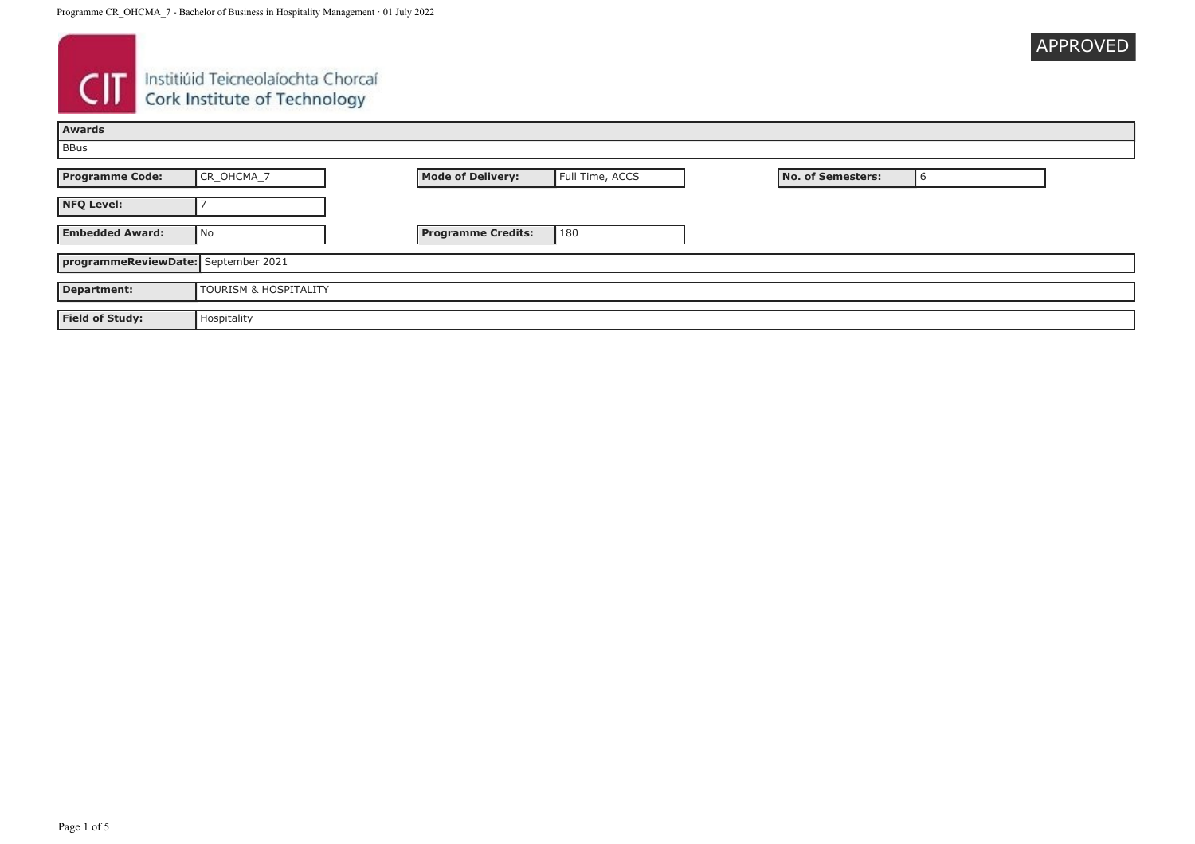|  | <b>APPROVED</b> |
|--|-----------------|
|  |                 |

# **CIT** Instituid Teicneolaíochta Chorcaí

| <b>Awards</b>                       |                                  |                           |                 |                          |   |  |
|-------------------------------------|----------------------------------|---------------------------|-----------------|--------------------------|---|--|
| <b>BBus</b>                         |                                  |                           |                 |                          |   |  |
| <b>Programme Code:</b>              | CR_OHCMA_7                       | <b>Mode of Delivery:</b>  | Full Time, ACCS | <b>No. of Semesters:</b> | b |  |
| <b>NFQ Level:</b>                   |                                  |                           |                 |                          |   |  |
| <b>Embedded Award:</b>              | l No                             | <b>Programme Credits:</b> | 180             |                          |   |  |
| programmeReviewDate: September 2021 |                                  |                           |                 |                          |   |  |
| <b>Department:</b>                  | <b>TOURISM &amp; HOSPITALITY</b> |                           |                 |                          |   |  |
| <b>Field of Study:</b>              | Hospitality                      |                           |                 |                          |   |  |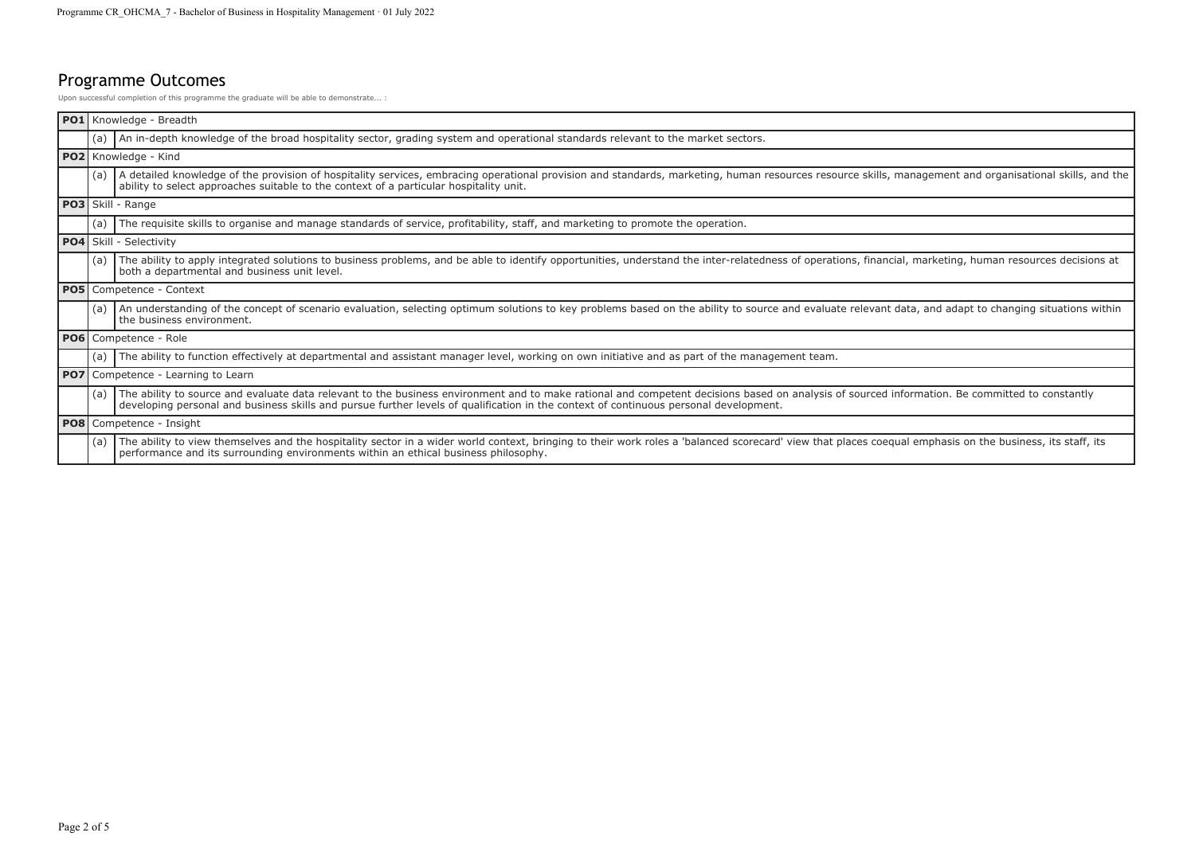# Programme Outcomes

Upon successful completion of this programme the graduate will be able to demonstrate... :

| PO <sub>1</sub> |                                 | Knowledge - Breadth                                                                                                                                                                                                                                                                                                                     |
|-----------------|---------------------------------|-----------------------------------------------------------------------------------------------------------------------------------------------------------------------------------------------------------------------------------------------------------------------------------------------------------------------------------------|
|                 | (a)                             | An in-depth knowledge of the broad hospitality sector, grading system and operational standards relevant to the market sectors.                                                                                                                                                                                                         |
|                 |                                 | PO2 Knowledge - Kind                                                                                                                                                                                                                                                                                                                    |
|                 | (a)                             | A detailed knowledge of the provision of hospitality services, embracing operational provision and standards, marketing, human resources resource skills, management and organisational skills, and the<br>ability to select approaches suitable to the context of a particular hospitality unit.                                       |
|                 |                                 | <b>PO3</b> Skill - Range                                                                                                                                                                                                                                                                                                                |
|                 | (a)                             | The requisite skills to organise and manage standards of service, profitability, staff, and marketing to promote the operation.                                                                                                                                                                                                         |
|                 |                                 | <b>PO4</b> Skill - Selectivity                                                                                                                                                                                                                                                                                                          |
|                 | (a)                             | The ability to apply integrated solutions to business problems, and be able to identify opportunities, understand the inter-relatedness of operations, financial, marketing, human resources decisions at<br>both a departmental and business unit level.                                                                               |
|                 |                                 | <b>PO5</b> Competence - Context                                                                                                                                                                                                                                                                                                         |
|                 | (a)                             | An understanding of the concept of scenario evaluation, selecting optimum solutions to key problems based on the ability to source and evaluate relevant data, and adapt to changing situations within<br>the business environment.                                                                                                     |
|                 |                                 | <b>PO6</b> Competence - Role                                                                                                                                                                                                                                                                                                            |
|                 | (a)                             | The ability to function effectively at departmental and assistant manager level, working on own initiative and as part of the management team.                                                                                                                                                                                          |
|                 |                                 | <b>PO7</b> Competence - Learning to Learn                                                                                                                                                                                                                                                                                               |
|                 | (a)                             | The ability to source and evaluate data relevant to the business environment and to make rational and competent decisions based on analysis of sourced information. Be committed to constantly<br>developing personal and business skills and pursue further levels of qualification in the context of continuous personal development. |
|                 | <b>PO8</b> Competence - Insight |                                                                                                                                                                                                                                                                                                                                         |
|                 | (a)                             | The ability to view themselves and the hospitality sector in a wider world context, bringing to their work roles a 'balanced scorecard' view that places coequal emphasis on the business, its staff, its<br>performance and its surrounding environments within an ethical business philosophy.                                        |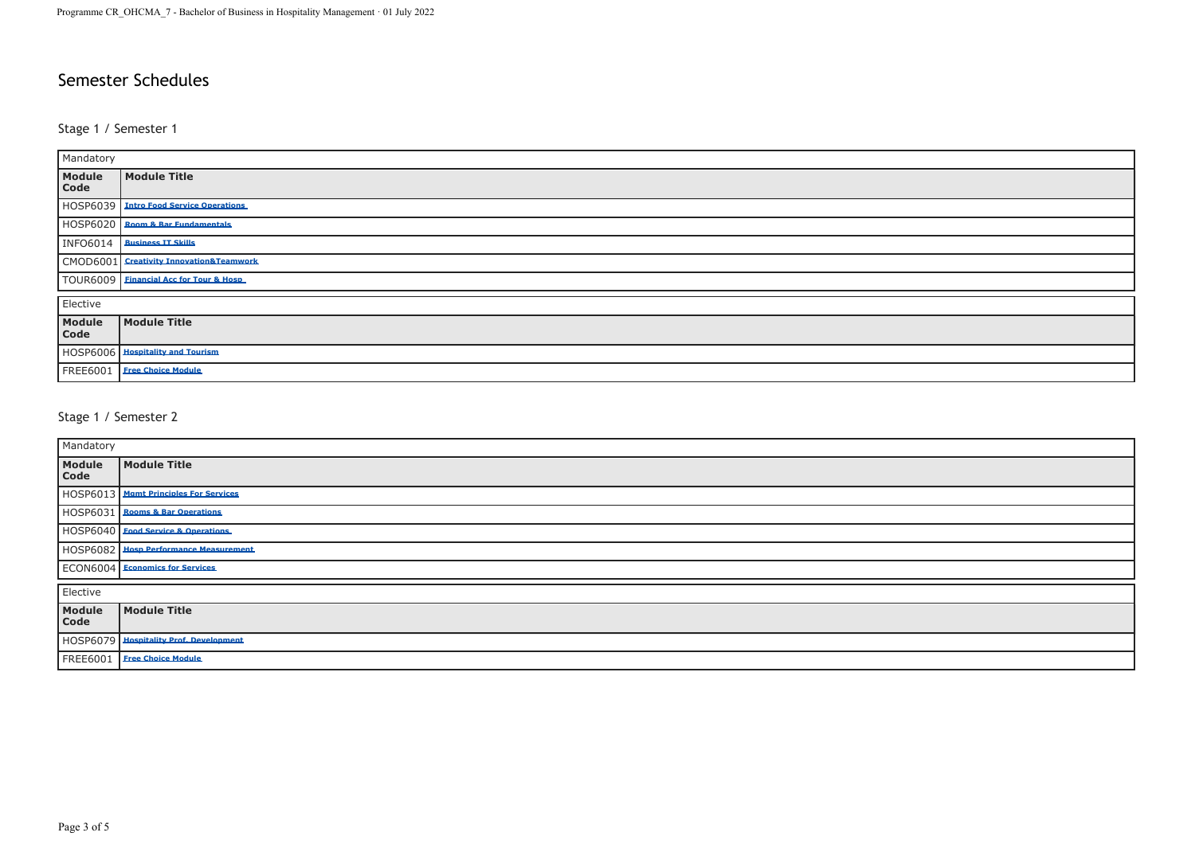# Semester Schedules

#### Stage 1 / Semester 1

| Mandatory       |                                         |  |
|-----------------|-----------------------------------------|--|
| Module<br>Code  | Module Title                            |  |
|                 | HOSP6039 Intro Food Service Operations  |  |
|                 | HOSP6020 Room & Bar Fundamentals        |  |
|                 | INFO6014 Business IT Skills             |  |
|                 | CMOD6001 Creativity Innovation&Teamwork |  |
|                 | TOUR6009 Einancial Acc for Tour & Hosp  |  |
| Elective        |                                         |  |
| Module<br>Code  | Module Title                            |  |
|                 | HOSP6006 Bospitality and Tourism        |  |
| <b>FREE6001</b> | <b>Free Choice Module</b>               |  |

#### Stage 1 / Semester 2

| Mandatory             |                                        |  |
|-----------------------|----------------------------------------|--|
| Module<br>Code        | Module Title                           |  |
|                       | HOSP6013 Mgmt Principles For Services  |  |
|                       | HOSP6031 Rooms & Bar Operations        |  |
|                       | HOSP6040 Eggd Service & Operations     |  |
|                       | HOSP6082 Hosp Performance Measurement  |  |
|                       | <b>ECON6004</b> Economics for Services |  |
| Elective              |                                        |  |
| Module<br><b>Code</b> | Module Title                           |  |
|                       | HOSP6079 Hospitality Prof. Development |  |
| <b>FREE6001</b>       | <b>Free Choice Module</b>              |  |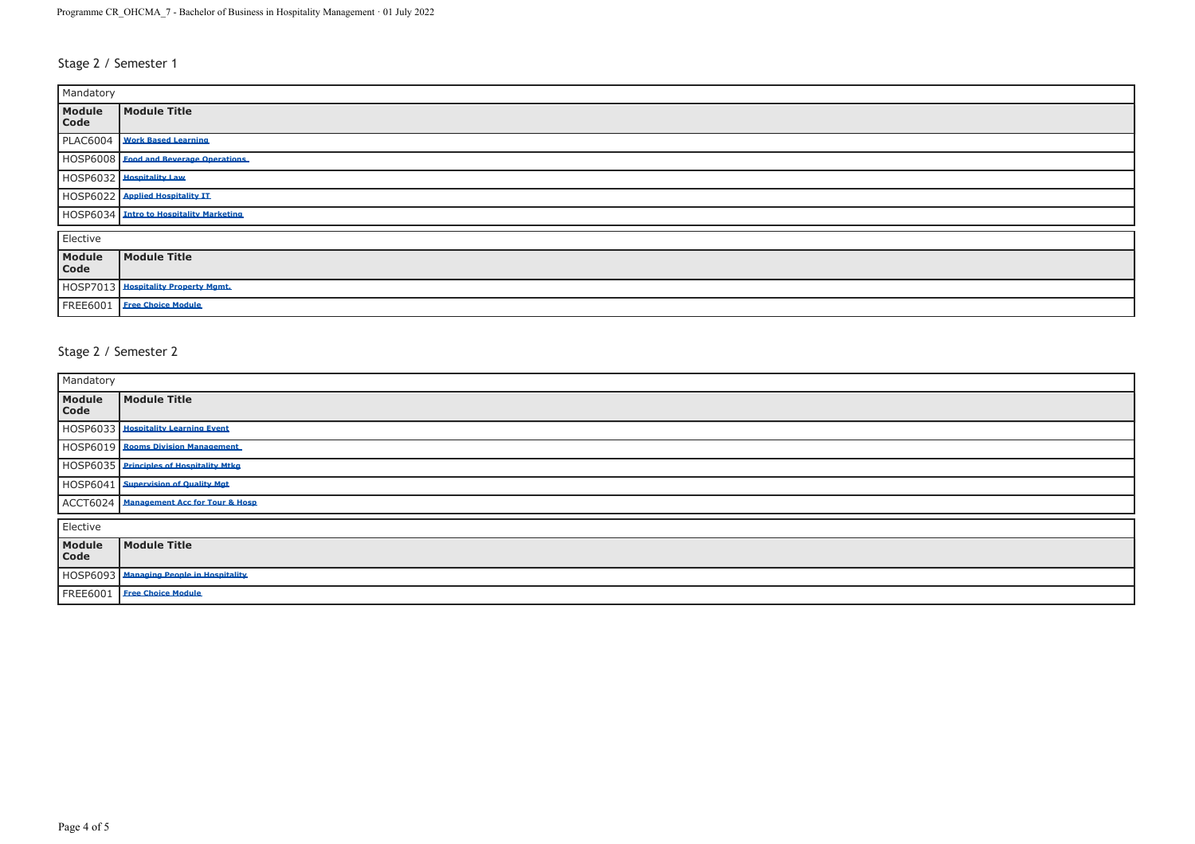# Stage 2 / Semester 1

| Mandatory      |                                         |  |
|----------------|-----------------------------------------|--|
| Module<br>Code | Module Title                            |  |
|                | PLAC6004   Work Based Learning          |  |
|                | HOSP6008 Eood and Beverage Operations   |  |
|                | HOSP6032   Hospitality Law              |  |
|                | HOSP6022 Applied Hospitality IT         |  |
|                | HOSP6034 Intro to Hospitality Marketing |  |
| Elective       |                                         |  |
| Module<br>Code | Module Title                            |  |
|                | HOSP7013   Hospitality Property Mgmt.   |  |
|                | FREE6001   Free Choice Module           |  |

# Stage 2 / Semester 2

| Mandatory      |                                           |  |
|----------------|-------------------------------------------|--|
| Module<br>Code | Module Title                              |  |
|                | HOSP6033 Hospitality Learning Event       |  |
|                | HOSP6019 Rooms Division Management        |  |
|                | HOSP6035 Principles of Hospitality Mtkg   |  |
|                | HOSP6041 Supervision of Quality Mgt       |  |
|                | ACCT6024   Management Acc for Tour & Hosp |  |
| Elective       |                                           |  |
| Module<br>Code | Module Title                              |  |
|                | HOSP6093 Managing People in Hospitality   |  |
|                | FREE6001   Free Choice Module             |  |